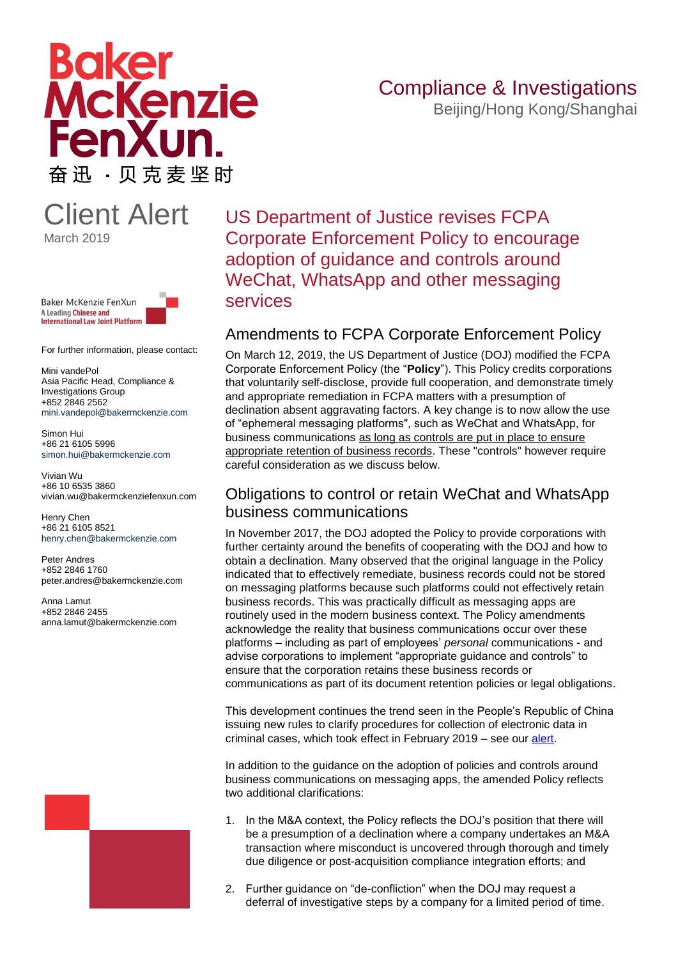# **Boker** McKenzie FenXu 奋迅 · 贝克麦坚时

## Compliance & Investigations

Beijing/Hong Kong/Shanghai

### Client Alert March 2019



For further information, please contact:

Mini vandePol Asia Pacific Head, Compliance & Investigations Group +852 2846 2562 mini.vandepol@bakermckenzie.com

Simon Hui +86 21 6105 5996 [simon.hui@bakermckenzie.com](mailto:simon.hui@bakermckenzie.com)

Vivian Wu +86 10 6535 3860 vivian.wu@bakermckenziefenxun.com

Henry Chen +86 21 6105 8521 [henry.chen@bakermckenzie.com](mailto:Henry.Chen@bakermckenzie.com)

Peter Andres +852 2846 1760 peter.andres@bakermckenzie.com

Anna Lamut +852 2846 2455 anna.lamut@bakermckenzie.com



US Department of Justice revises FCPA Corporate Enforcement Policy to encourage adoption of guidance and controls around WeChat, WhatsApp and other messaging services

#### Amendments to FCPA Corporate Enforcement Policy

On March 12, 2019, the US Department of Justice (DOJ) modified the FCPA Corporate Enforcement Policy (the "**Policy**"). This Policy credits corporations that voluntarily self-disclose, provide full cooperation, and demonstrate timely and appropriate remediation in FCPA matters with a presumption of declination absent aggravating factors. A key change is to now allow the use of "ephemeral messaging platforms", such as WeChat and WhatsApp, for business communications as long as controls are put in place to ensure appropriate retention of business records. These "controls" however require careful consideration as we discuss below.

#### Obligations to control or retain WeChat and WhatsApp business communications

In November 2017, the DOJ adopted the Policy to provide corporations with further certainty around the benefits of cooperating with the DOJ and how to obtain a declination. Many observed that the original language in the Policy indicated that to effectively remediate, business records could not be stored on messaging platforms because such platforms could not effectively retain business records. This was practically difficult as messaging apps are routinely used in the modern business context. The Policy amendments acknowledge the reality that business communications occur over these platforms – including as part of employees' *personal* communications - and advise corporations to implement "appropriate guidance and controls" to ensure that the corporation retains these business records or communications as part of its document retention policies or legal obligations.

This development continues the trend seen in the People's Republic of China issuing new rules to clarify procedures for collection of electronic data in criminal cases, which took effect in February 2019 – see our [alert.](https://globalcompliancenews.com/china-issues-new-rules-clarify-procedures-collection-electronic-data-criminal-cases-20190212/)

In addition to the guidance on the adoption of policies and controls around business communications on messaging apps, the amended Policy reflects two additional clarifications:

- 1. In the M&A context, the Policy reflects the DOJ's position that there will be a presumption of a declination where a company undertakes an M&A transaction where misconduct is uncovered through thorough and timely due diligence or post-acquisition compliance integration efforts; and
- 2. Further guidance on "de-confliction" when the DOJ may request a deferral of investigative steps by a company for a limited period of time.